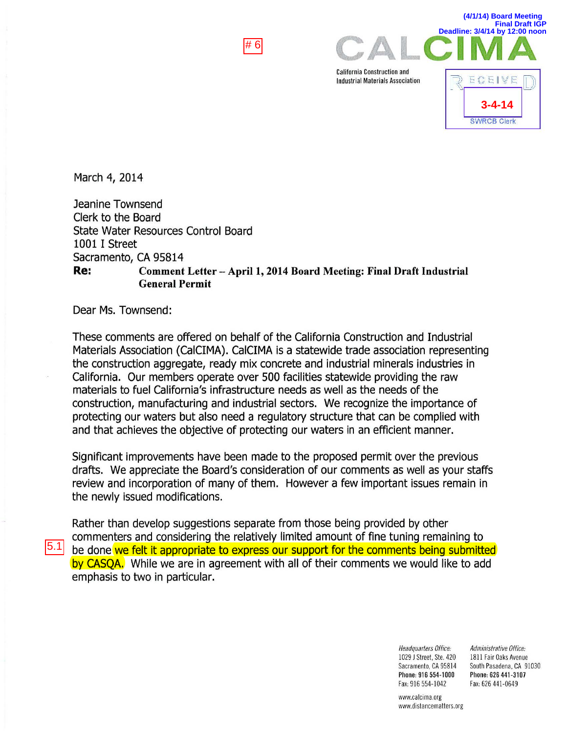

California Construction and Industrial Materials Association



**(4/1/14) Board Meeting**

March 4, 2014

Jeanine Townsend Clerk to the Board State Water Resources Control Board 1001 I Street Sacramento, CA 95814 Re: Comment Letter - April 1, 2014 Board Meeting: Final Draft Industrial General Permit

Dear Ms. Townsend:

These comments are offered on behalf of the California Construction and Industrial Materials Association (CaiCIMA). CaiCIMA is a statewide trade association representing the construction aggregate, ready mix concrete and industrial minerals industries in California. Our members operate over 500 facilities statewide providing the raw materials to fuel California's infrastructure needs as well as the needs of the construction, manufacturing and industrial sectors. We recognize the importance of protecting our waters but also need a regulatory structure that can be complied with and that achieves the objective of protecting our waters in an efficient manner.

Significant improvements have been made to the proposed permit over the previous drafts. We appreciate the Board's consideration of our comments as well as your staffs review and incorporation of many of them. However a few important issues remain in the newly issued modifications.

Rather than develop suggestions separate from those being provided by other commenters and considering the relatively limited amount of fine tuning remaining to  $5.1$  be done we felt it appropriate to express our support for the comments being submitted by CASQA. While we are in agreement with all of their comments we would like to add emphasis to two in particular.

> Headquarters Office: 1029 J Street, Ste. 420 Sacramento, CA 95814 Phone: 916 554-1000 Fax: 916 554-1042

Administrative Office: 1811 Fair Oaks Avenue South Pasadena, CA 91030 Phone: 626 441-3107 Fax: 626 441-0649

www.calcima.org www.distancematters.org